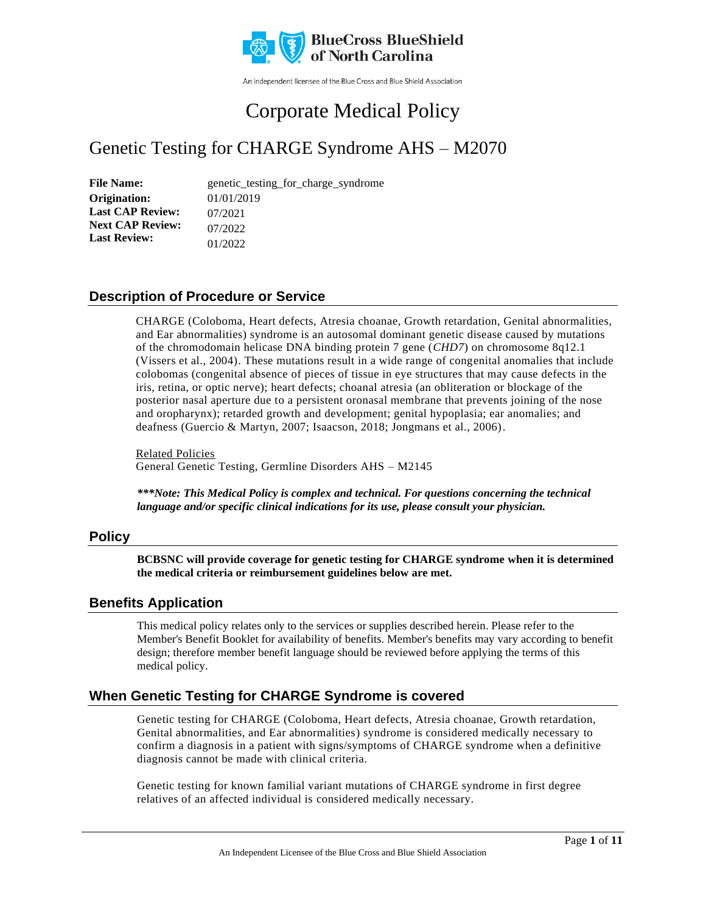

An independent licensee of the Blue Cross and Blue Shield Association

# Corporate Medical Policy

## Genetic Testing for CHARGE Syndrome AHS – M2070

File Name: genetic\_testing\_for\_charge\_syndrome 01/01/2019 07/2021 07/2022 01/2022 **Origination: Last CAP Review: Next CAP Review: Last Review:**

## **Description of Procedure or Service**

CHARGE (Coloboma, Heart defects, Atresia choanae, Growth retardation, Genital abnormalities, and Ear abnormalities) syndrome is an autosomal dominant genetic disease caused by mutations of the chromodomain helicase DNA binding protein 7 gene (*CHD7*) on chromosome 8q12.1 (Vissers et al., 2004). These mutations result in a wide range of congenital anomalies that include colobomas (congenital absence of pieces of tissue in eye structures that may cause defects in the iris, retina, or optic nerve); heart defects; choanal atresia (an obliteration or blockage of the posterior nasal aperture due to a persistent oronasal membrane that prevents joining of the nose and oropharynx); retarded growth and development; genital hypoplasia; ear anomalies; and deafness (Guercio & Martyn, 2007; Isaacson, 2018; Jongmans et al., 2006).

Related Policies General Genetic Testing, Germline Disorders AHS – M2145

*\*\*\*Note: This Medical Policy is complex and technical. For questions concerning the technical language and/or specific clinical indications for its use, please consult your physician.*

### **Policy**

**BCBSNC will provide coverage for genetic testing for CHARGE syndrome when it is determined the medical criteria or reimbursement guidelines below are met.**

## **Benefits Application**

This medical policy relates only to the services or supplies described herein. Please refer to the Member's Benefit Booklet for availability of benefits. Member's benefits may vary according to benefit design; therefore member benefit language should be reviewed before applying the terms of this medical policy.

## **When Genetic Testing for CHARGE Syndrome is covered**

Genetic testing for CHARGE (Coloboma, Heart defects, Atresia choanae, Growth retardation, Genital abnormalities, and Ear abnormalities) syndrome is considered medically necessary to confirm a diagnosis in a patient with signs/symptoms of CHARGE syndrome when a definitive diagnosis cannot be made with clinical criteria.

Genetic testing for known familial variant mutations of CHARGE syndrome in first degree relatives of an affected individual is considered medically necessary.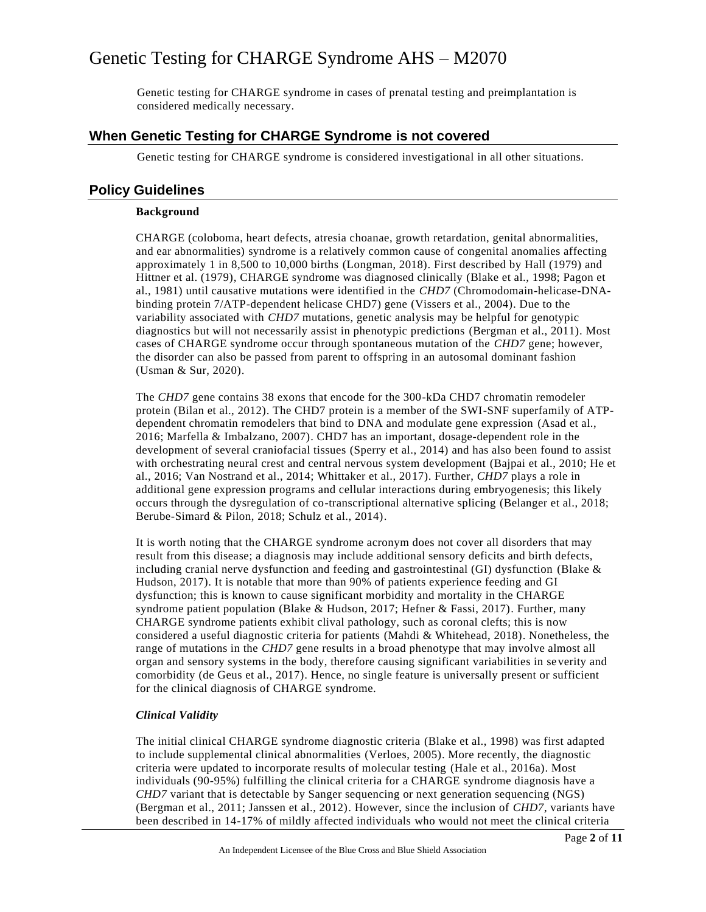Genetic testing for CHARGE syndrome in cases of prenatal testing and preimplantation is considered medically necessary.

### **When Genetic Testing for CHARGE Syndrome is not covered**

Genetic testing for CHARGE syndrome is considered investigational in all other situations.

### **Policy Guidelines**

#### **Background**

CHARGE (coloboma, heart defects, atresia choanae, growth retardation, genital abnormalities, and ear abnormalities) syndrome is a relatively common cause of congenital anomalies affecting approximately 1 in 8,500 to 10,000 births (Longman, 2018). First described by Hall (1979) and Hittner et al. (1979), CHARGE syndrome was diagnosed clinically (Blake et al., 1998; Pagon et al., 1981) until causative mutations were identified in the *CHD7* (Chromodomain-helicase-DNAbinding protein 7/ATP-dependent helicase CHD7) gene (Vissers et al., 2004). Due to the variability associated with *CHD7* mutations, genetic analysis may be helpful for genotypic diagnostics but will not necessarily assist in phenotypic predictions (Bergman et al., 2011). Most cases of CHARGE syndrome occur through spontaneous mutation of the *CHD7* gene; however, the disorder can also be passed from parent to offspring in an autosomal dominant fashion (Usman & Sur, 2020).

The *CHD7* gene contains 38 exons that encode for the 300-kDa CHD7 chromatin remodeler protein (Bilan et al., 2012). The CHD7 protein is a member of the SWI-SNF superfamily of ATPdependent chromatin remodelers that bind to DNA and modulate gene expression (Asad et al., 2016; Marfella & Imbalzano, 2007). CHD7 has an important, dosage-dependent role in the development of several craniofacial tissues (Sperry et al., 2014) and has also been found to assist with orchestrating neural crest and central nervous system development (Bajpai et al., 2010; He et al., 2016; Van Nostrand et al., 2014; Whittaker et al., 2017). Further, *CHD7* plays a role in additional gene expression programs and cellular interactions during embryogenesis; this likely occurs through the dysregulation of co-transcriptional alternative splicing (Belanger et al., 2018; Berube-Simard & Pilon, 2018; Schulz et al., 2014).

It is worth noting that the CHARGE syndrome acronym does not cover all disorders that may result from this disease; a diagnosis may include additional sensory deficits and birth defects, including cranial nerve dysfunction and feeding and gastrointestinal (GI) dysfunction (Blake  $\&$ Hudson, 2017). It is notable that more than 90% of patients experience feeding and GI dysfunction; this is known to cause significant morbidity and mortality in the CHARGE syndrome patient population (Blake & Hudson, 2017; Hefner & Fassi, 2017). Further, many CHARGE syndrome patients exhibit clival pathology, such as coronal clefts; this is now considered a useful diagnostic criteria for patients (Mahdi & Whitehead, 2018). Nonetheless, the range of mutations in the *CHD7* gene results in a broad phenotype that may involve almost all organ and sensory systems in the body, therefore causing significant variabilities in se verity and comorbidity (de Geus et al., 2017). Hence, no single feature is universally present or sufficient for the clinical diagnosis of CHARGE syndrome.

#### *Clinical Validity*

The initial clinical CHARGE syndrome diagnostic criteria (Blake et al., 1998) was first adapted to include supplemental clinical abnormalities (Verloes, 2005). More recently, the diagnostic criteria were updated to incorporate results of molecular testing (Hale et al., 2016a). Most individuals (90-95%) fulfilling the clinical criteria for a CHARGE syndrome diagnosis have a *CHD7* variant that is detectable by Sanger sequencing or next generation sequencing (NGS) (Bergman et al., 2011; Janssen et al., 2012). However, since the inclusion of *CHD7*, variants have been described in 14-17% of mildly affected individuals who would not meet the clinical criteria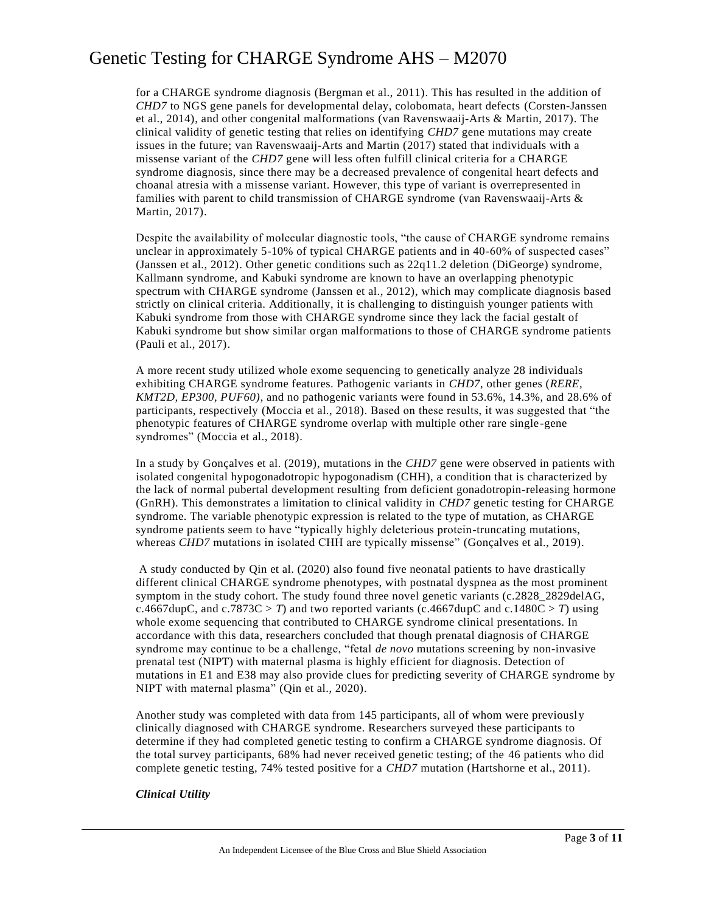for a CHARGE syndrome diagnosis (Bergman et al., 2011). This has resulted in the addition of *CHD7* to NGS gene panels for developmental delay, colobomata, heart defects (Corsten-Janssen et al., 2014), and other congenital malformations (van Ravenswaaij-Arts & Martin, 2017). The clinical validity of genetic testing that relies on identifying *CHD7* gene mutations may create issues in the future; van Ravenswaaij-Arts and Martin (2017) stated that individuals with a missense variant of the *CHD7* gene will less often fulfill clinical criteria for a CHARGE syndrome diagnosis, since there may be a decreased prevalence of congenital heart defects and choanal atresia with a missense variant. However, this type of variant is overrepresented in families with parent to child transmission of CHARGE syndrome (van Ravenswaaij-Arts & Martin, 2017).

Despite the availability of molecular diagnostic tools, "the cause of CHARGE syndrome remains unclear in approximately 5-10% of typical CHARGE patients and in 40-60% of suspected cases" (Janssen et al., 2012). Other genetic conditions such as 22q11.2 deletion (DiGeorge) syndrome, Kallmann syndrome, and Kabuki syndrome are known to have an overlapping phenotypic spectrum with CHARGE syndrome (Janssen et al., 2012), which may complicate diagnosis based strictly on clinical criteria. Additionally, it is challenging to distinguish younger patients with Kabuki syndrome from those with CHARGE syndrome since they lack the facial gestalt of Kabuki syndrome but show similar organ malformations to those of CHARGE syndrome patients (Pauli et al., 2017).

A more recent study utilized whole exome sequencing to genetically analyze 28 individuals exhibiting CHARGE syndrome features. Pathogenic variants in *CHD7*, other genes (*RERE, KMT2D, EP300, PUF60)*, and no pathogenic variants were found in 53.6%, 14.3%, and 28.6% of participants, respectively (Moccia et al., 2018). Based on these results, it was suggested that "the phenotypic features of CHARGE syndrome overlap with multiple other rare single -gene syndromes" (Moccia et al., 2018).

In a study by Gonçalves et al. (2019), mutations in the *CHD7* gene were observed in patients with isolated congenital hypogonadotropic hypogonadism (CHH), a condition that is characterized by the lack of normal pubertal development resulting from deficient gonadotropin-releasing hormone (GnRH). This demonstrates a limitation to clinical validity in *CHD7* genetic testing for CHARGE syndrome. The variable phenotypic expression is related to the type of mutation, as CHARGE syndrome patients seem to have "typically highly deleterious protein-truncating mutations, whereas *CHD7* mutations in isolated CHH are typically missense" (Gonçalves et al., 2019).

A study conducted by Qin et al. (2020) also found five neonatal patients to have drastically different clinical CHARGE syndrome phenotypes, with postnatal dyspnea as the most prominent symptom in the study cohort. The study found three novel genetic variants (c.2828\_2829delAG, c.4667dupC, and c.7873C > *T*) and two reported variants (c.4667dupC and c.1480C > *T*) using whole exome sequencing that contributed to CHARGE syndrome clinical presentations. In accordance with this data, researchers concluded that though prenatal diagnosis of CHARGE syndrome may continue to be a challenge, "fetal *de novo* mutations screening by non-invasive prenatal test (NIPT) with maternal plasma is highly efficient for diagnosis. Detection of mutations in E1 and E38 may also provide clues for predicting severity of CHARGE syndrome by NIPT with maternal plasma" (Qin et al., 2020).

Another study was completed with data from 145 participants, all of whom were previously clinically diagnosed with CHARGE syndrome. Researchers surveyed these participants to determine if they had completed genetic testing to confirm a CHARGE syndrome diagnosis. Of the total survey participants, 68% had never received genetic testing; of the 46 patients who did complete genetic testing, 74% tested positive for a *CHD7* mutation (Hartshorne et al., 2011).

#### *Clinical Utility*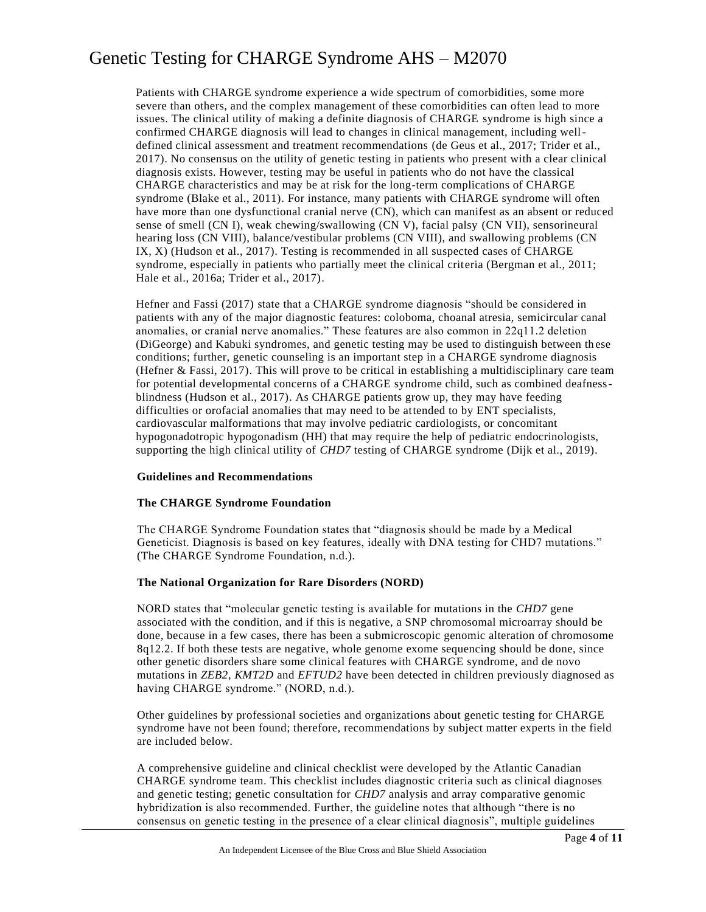Patients with CHARGE syndrome experience a wide spectrum of comorbidities, some more severe than others, and the complex management of these comorbidities can often lead to more issues. The clinical utility of making a definite diagnosis of CHARGE syndrome is high since a confirmed CHARGE diagnosis will lead to changes in clinical management, including welldefined clinical assessment and treatment recommendations (de Geus et al., 2017; Trider et al., 2017). No consensus on the utility of genetic testing in patients who present with a clear clinical diagnosis exists. However, testing may be useful in patients who do not have the classical CHARGE characteristics and may be at risk for the long-term complications of CHARGE syndrome (Blake et al., 2011). For instance, many patients with CHARGE syndrome will often have more than one dysfunctional cranial nerve (CN), which can manifest as an absent or reduced sense of smell (CN I), weak chewing/swallowing (CN V), facial palsy (CN VII), sensorineural hearing loss (CN VIII), balance/vestibular problems (CN VIII), and swallowing problems (CN IX, X) (Hudson et al., 2017). Testing is recommended in all suspected cases of CHARGE syndrome, especially in patients who partially meet the clinical criteria (Bergman et al., 2011; Hale et al., 2016a; Trider et al., 2017).

Hefner and Fassi (2017) state that a CHARGE syndrome diagnosis "should be considered in patients with any of the major diagnostic features: coloboma, choanal atresia, semicircular canal anomalies, or cranial nerve anomalies." These features are also common in 22q11.2 deletion (DiGeorge) and Kabuki syndromes, and genetic testing may be used to distinguish between these conditions; further, genetic counseling is an important step in a CHARGE syndrome diagnosis (Hefner & Fassi, 2017). This will prove to be critical in establishing a multidisciplinary care team for potential developmental concerns of a CHARGE syndrome child, such as combined deafnessblindness (Hudson et al., 2017). As CHARGE patients grow up, they may have feeding difficulties or orofacial anomalies that may need to be attended to by ENT specialists, cardiovascular malformations that may involve pediatric cardiologists, or concomitant hypogonadotropic hypogonadism (HH) that may require the help of pediatric endocrinologists, supporting the high clinical utility of *CHD7* testing of CHARGE syndrome (Dijk et al., 2019).

#### **Guidelines and Recommendations**

#### **The CHARGE Syndrome Foundation**

The CHARGE Syndrome Foundation states that "diagnosis should be made by a Medical Geneticist. Diagnosis is based on key features, ideally with DNA testing for CHD7 mutations." (The CHARGE Syndrome Foundation, n.d.).

#### **The National Organization for Rare Disorders (NORD)**

NORD states that "molecular genetic testing is available for mutations in the *CHD7* gene associated with the condition, and if this is negative, a SNP chromosomal microarray should be done, because in a few cases, there has been a submicroscopic genomic alteration of chromosome 8q12.2. If both these tests are negative, whole genome exome sequencing should be done, since other genetic disorders share some clinical features with CHARGE syndrome, and de novo mutations in *ZEB2*, *KMT2D* and *EFTUD2* have been detected in children previously diagnosed as having CHARGE syndrome." (NORD, n.d.).

Other guidelines by professional societies and organizations about genetic testing for CHARGE syndrome have not been found; therefore, recommendations by subject matter experts in the field are included below.

A comprehensive guideline and clinical checklist were developed by the Atlantic Canadian CHARGE syndrome team. This checklist includes diagnostic criteria such as clinical diagnoses and genetic testing; genetic consultation for *CHD7* analysis and array comparative genomic hybridization is also recommended. Further, the guideline notes that although "there is no consensus on genetic testing in the presence of a clear clinical diagnosis", multiple guidelines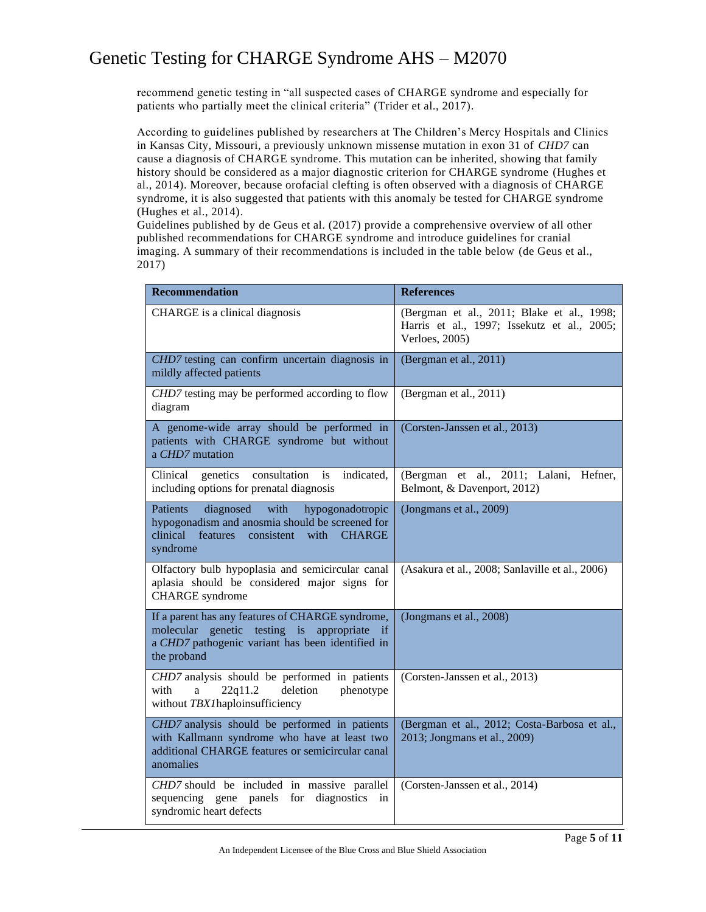recommend genetic testing in "all suspected cases of CHARGE syndrome and especially for patients who partially meet the clinical criteria" (Trider et al., 2017).

According to guidelines published by researchers at The Children's Mercy Hospitals and Clinics in Kansas City, Missouri, a previously unknown missense mutation in exon 31 of *CHD7* can cause a diagnosis of CHARGE syndrome. This mutation can be inherited, showing that family history should be considered as a major diagnostic criterion for CHARGE syndrome (Hughes et al., 2014). Moreover, because orofacial clefting is often observed with a diagnosis of CHARGE syndrome, it is also suggested that patients with this anomaly be tested for CHARGE syndrome (Hughes et al., 2014).

Guidelines published by de Geus et al. (2017) provide a comprehensive overview of all other published recommendations for CHARGE syndrome and introduce guidelines for cranial imaging. A summary of their recommendations is included in the table below (de Geus et al., 2017)

| <b>Recommendation</b>                                                                                                                                                                  | <b>References</b>                                                                                           |
|----------------------------------------------------------------------------------------------------------------------------------------------------------------------------------------|-------------------------------------------------------------------------------------------------------------|
| CHARGE is a clinical diagnosis                                                                                                                                                         | (Bergman et al., 2011; Blake et al., 1998;<br>Harris et al., 1997; Issekutz et al., 2005;<br>Verloes, 2005) |
| CHD7 testing can confirm uncertain diagnosis in<br>mildly affected patients                                                                                                            | (Bergman et al., 2011)                                                                                      |
| CHD7 testing may be performed according to flow<br>diagram                                                                                                                             | (Bergman et al., 2011)                                                                                      |
| A genome-wide array should be performed in<br>patients with CHARGE syndrome but without<br>a CHD7 mutation                                                                             | (Corsten-Janssen et al., 2013)                                                                              |
| consultation<br>indicated,<br>Clinical<br>genetics<br>is<br>including options for prenatal diagnosis                                                                                   | (Bergman et al., 2011; Lalani,<br>Hefner,<br>Belmont, & Davenport, 2012)                                    |
| <b>Patients</b><br>diagnosed<br>with<br>hypogonadotropic<br>hypogonadism and anosmia should be screened for<br>clinical<br>consistent<br>with<br>features<br><b>CHARGE</b><br>syndrome | (Jongmans et al., 2009)                                                                                     |
| Olfactory bulb hypoplasia and semicircular canal<br>aplasia should be considered major signs for<br><b>CHARGE</b> syndrome                                                             | (Asakura et al., 2008; Sanlaville et al., 2006)                                                             |
| If a parent has any features of CHARGE syndrome,<br>molecular genetic testing is appropriate if<br>a CHD7 pathogenic variant has been identified in<br>the proband                     | (Jongmans et al., 2008)                                                                                     |
| CHD7 analysis should be performed in patients<br>22q11.2<br>deletion<br>with<br>a<br>phenotype<br>without TBX1haploinsufficiency                                                       | (Corsten-Janssen et al., 2013)                                                                              |
| CHD7 analysis should be performed in patients<br>with Kallmann syndrome who have at least two<br>additional CHARGE features or semicircular canal<br>anomalies                         | (Bergman et al., 2012; Costa-Barbosa et al.,<br>2013; Jongmans et al., 2009)                                |
| CHD7 should be included in massive parallel<br>sequencing gene panels<br>for<br>diagnostics<br>in<br>syndromic heart defects                                                           | (Corsten-Janssen et al., 2014)                                                                              |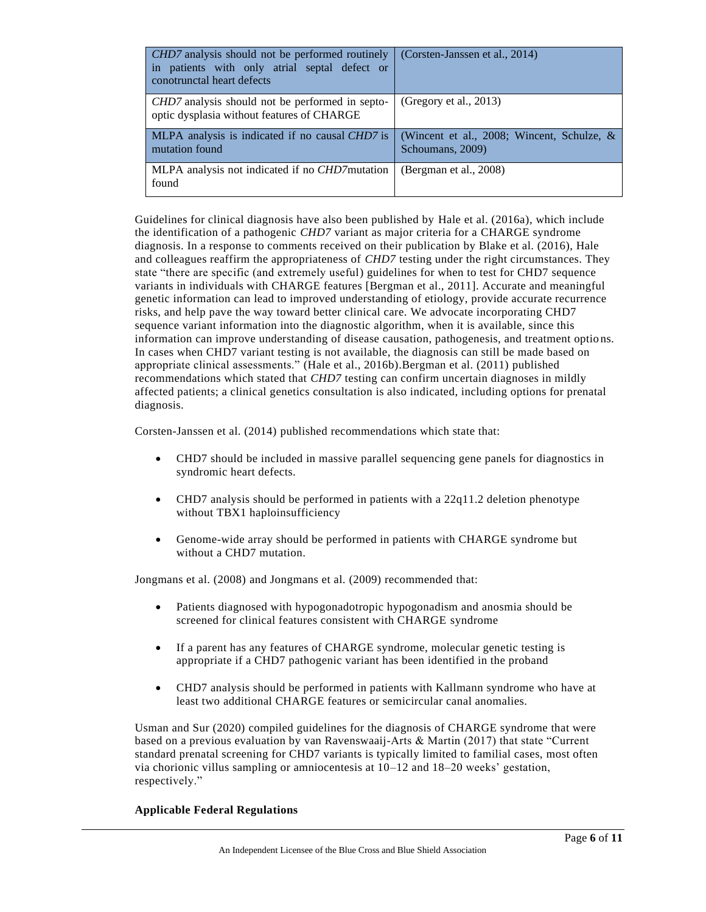| <i>CHD7</i> analysis should not be performed routinely<br>in patients with only atrial septal defect or<br>conotrunctal heart defects | (Corsten-Janssen et al., 2014)                                    |
|---------------------------------------------------------------------------------------------------------------------------------------|-------------------------------------------------------------------|
| <i>CHD7</i> analysis should not be performed in septo-<br>optic dysplasia without features of CHARGE                                  | (Gregory et al., $2013$ )                                         |
| MLPA analysis is indicated if no causal CHD7 is<br>mutation found                                                                     | (Wincent et al., 2008; Wincent, Schulze, $\&$<br>Schoumans, 2009) |
| MLPA analysis not indicated if no <i>CHD7</i> mutation<br>found                                                                       | (Bergman et al., 2008)                                            |

Guidelines for clinical diagnosis have also been published by Hale et al. (2016a), which include the identification of a pathogenic *CHD7* variant as major criteria for a CHARGE syndrome diagnosis. In a response to comments received on their publication by Blake et al. (2016), Hale and colleagues reaffirm the appropriateness of *CHD7* testing under the right circumstances. They state "there are specific (and extremely useful) guidelines for when to test for CHD7 sequence variants in individuals with CHARGE features [Bergman et al., 2011]. Accurate and meaningful genetic information can lead to improved understanding of etiology, provide accurate recurrence risks, and help pave the way toward better clinical care. We advocate incorporating CHD7 sequence variant information into the diagnostic algorithm, when it is available, since this information can improve understanding of disease causation, pathogenesis, and treatment optio ns. In cases when CHD7 variant testing is not available, the diagnosis can still be made based on appropriate clinical assessments." (Hale et al., 2016b).Bergman et al. (2011) published recommendations which stated that *CHD7* testing can confirm uncertain diagnoses in mildly affected patients; a clinical genetics consultation is also indicated, including options for prenatal diagnosis.

Corsten-Janssen et al. (2014) published recommendations which state that:

- CHD7 should be included in massive parallel sequencing gene panels for diagnostics in syndromic heart defects.
- CHD7 analysis should be performed in patients with a 22q11.2 deletion phenotype without TBX1 haploinsufficiency
- Genome-wide array should be performed in patients with CHARGE syndrome but without a CHD7 mutation.

Jongmans et al. (2008) and Jongmans et al. (2009) recommended that:

- Patients diagnosed with hypogonadotropic hypogonadism and anosmia should be screened for clinical features consistent with CHARGE syndrome
- If a parent has any features of CHARGE syndrome, molecular genetic testing is appropriate if a CHD7 pathogenic variant has been identified in the proband
- CHD7 analysis should be performed in patients with Kallmann syndrome who have at least two additional CHARGE features or semicircular canal anomalies.

Usman and Sur (2020) compiled guidelines for the diagnosis of CHARGE syndrome that were based on a previous evaluation by van Ravenswaaij-Arts & Martin (2017) that state "Current standard prenatal screening for CHD7 variants is typically limited to familial cases, most often via chorionic villus sampling or amniocentesis at 10–12 and 18–20 weeks' gestation, respectively."

#### **Applicable Federal Regulations**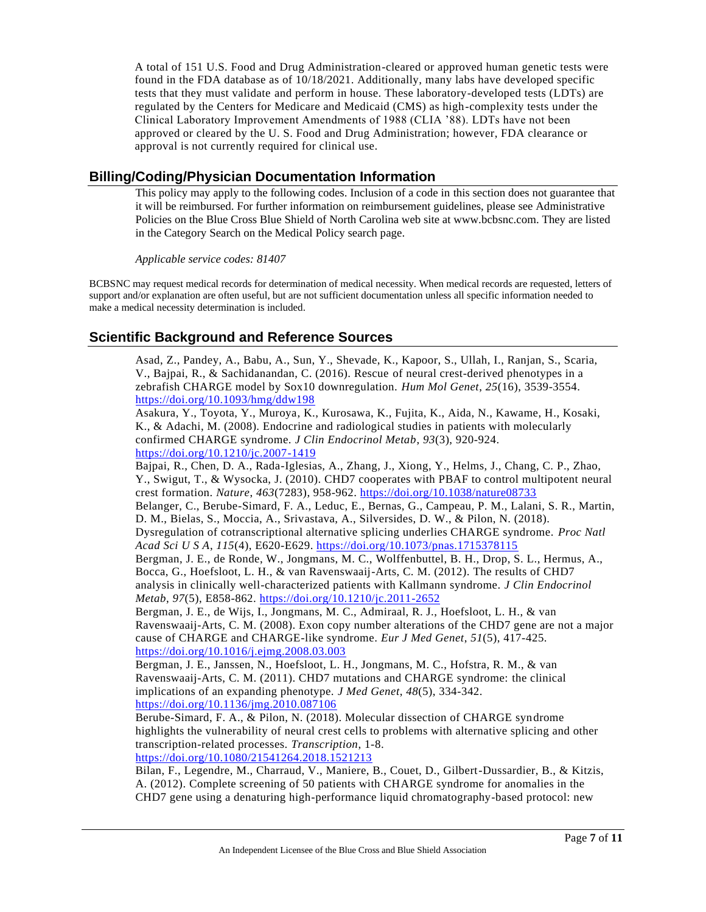A total of 151 U.S. Food and Drug Administration-cleared or approved human genetic tests were found in the FDA database as of 10/18/2021. Additionally, many labs have developed specific tests that they must validate and perform in house. These laboratory-developed tests (LDTs) are regulated by the Centers for Medicare and Medicaid (CMS) as high-complexity tests under the Clinical Laboratory Improvement Amendments of 1988 (CLIA '88). LDTs have not been approved or cleared by the U. S. Food and Drug Administration; however, FDA clearance or approval is not currently required for clinical use.

### **Billing/Coding/Physician Documentation Information**

This policy may apply to the following codes. Inclusion of a code in this section does not guarantee that it will be reimbursed. For further information on reimbursement guidelines, please see Administrative Policies on the Blue Cross Blue Shield of North Carolina web site at www.bcbsnc.com. They are listed in the Category Search on the Medical Policy search page.

*Applicable service codes: 81407*

BCBSNC may request medical records for determination of medical necessity. When medical records are requested, letters of support and/or explanation are often useful, but are not sufficient documentation unless all specific information needed to make a medical necessity determination is included.

## **Scientific Background and Reference Sources**

Asad, Z., Pandey, A., Babu, A., Sun, Y., Shevade, K., Kapoor, S., Ullah, I., Ranjan, S., Scaria, V., Bajpai, R., & Sachidanandan, C. (2016). Rescue of neural crest-derived phenotypes in a zebrafish CHARGE model by Sox10 downregulation. *Hum Mol Genet*, *25*(16), 3539-3554. <https://doi.org/10.1093/hmg/ddw198>

Asakura, Y., Toyota, Y., Muroya, K., Kurosawa, K., Fujita, K., Aida, N., Kawame, H., Kosaki, K., & Adachi, M. (2008). Endocrine and radiological studies in patients with molecularly confirmed CHARGE syndrome. *J Clin Endocrinol Metab*, *93*(3), 920-924. <https://doi.org/10.1210/jc.2007-1419>

Bajpai, R., Chen, D. A., Rada-Iglesias, A., Zhang, J., Xiong, Y., Helms, J., Chang, C. P., Zhao, Y., Swigut, T., & Wysocka, J. (2010). CHD7 cooperates with PBAF to control multipotent neural crest formation. *Nature*, *463*(7283), 958-962.<https://doi.org/10.1038/nature08733> Belanger, C., Berube-Simard, F. A., Leduc, E., Bernas, G., Campeau, P. M., Lalani, S. R., Martin, D. M., Bielas, S., Moccia, A., Srivastava, A., Silversides, D. W., & Pilon, N. (2018). Dysregulation of cotranscriptional alternative splicing underlies CHARGE syndrome. *Proc Natl Acad Sci U S A*, *115*(4), E620-E629.<https://doi.org/10.1073/pnas.1715378115> Bergman, J. E., de Ronde, W., Jongmans, M. C., Wolffenbuttel, B. H., Drop, S. L., Hermus, A., Bocca, G., Hoefsloot, L. H., & van Ravenswaaij-Arts, C. M. (2012). The results of CHD7 analysis in clinically well-characterized patients with Kallmann syndrome. *J Clin Endocrinol Metab*, *97*(5), E858-862.<https://doi.org/10.1210/jc.2011-2652> Bergman, J. E., de Wijs, I., Jongmans, M. C., Admiraal, R. J., Hoefsloot, L. H., & van Ravenswaaij-Arts, C. M. (2008). Exon copy number alterations of the CHD7 gene are not a major cause of CHARGE and CHARGE-like syndrome. *Eur J Med Genet*, *51*(5), 417-425. <https://doi.org/10.1016/j.ejmg.2008.03.003>

Bergman, J. E., Janssen, N., Hoefsloot, L. H., Jongmans, M. C., Hofstra, R. M., & van Ravenswaaij-Arts, C. M. (2011). CHD7 mutations and CHARGE syndrome: the clinical implications of an expanding phenotype. *J Med Genet*, *48*(5), 334-342. <https://doi.org/10.1136/jmg.2010.087106>

Berube-Simard, F. A., & Pilon, N. (2018). Molecular dissection of CHARGE syndrome highlights the vulnerability of neural crest cells to problems with alternative splicing and other transcription-related processes. *Transcription*, 1-8. <https://doi.org/10.1080/21541264.2018.1521213>

Bilan, F., Legendre, M., Charraud, V., Maniere, B., Couet, D., Gilbert-Dussardier, B., & Kitzis, A. (2012). Complete screening of 50 patients with CHARGE syndrome for anomalies in the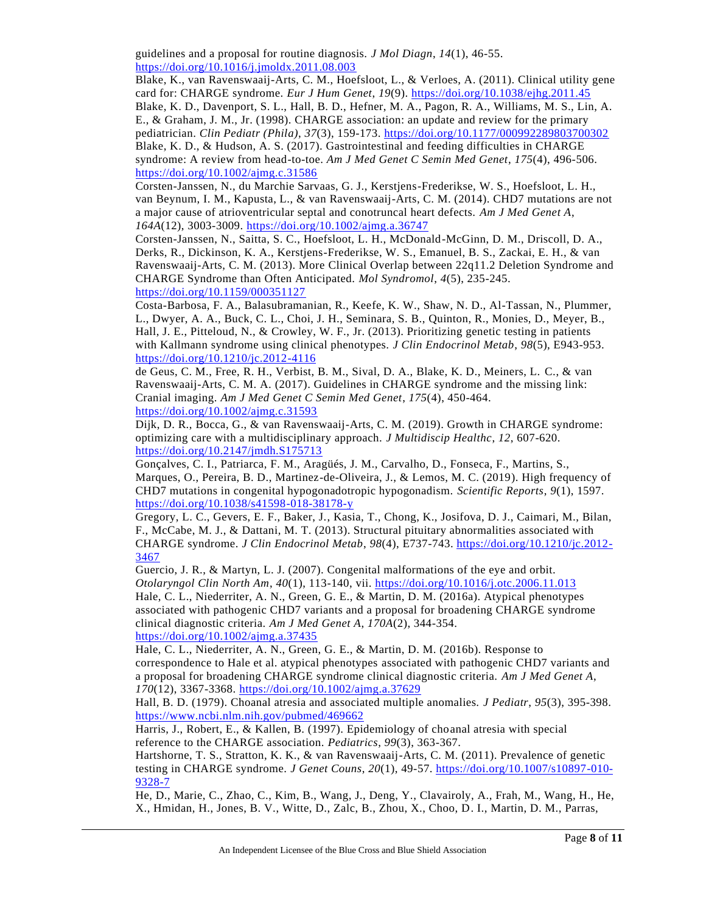guidelines and a proposal for routine diagnosis. *J Mol Diagn*, *14*(1), 46-55. <https://doi.org/10.1016/j.jmoldx.2011.08.003>

Blake, K., van Ravenswaaij-Arts, C. M., Hoefsloot, L., & Verloes, A. (2011). Clinical utility gene card for: CHARGE syndrome. *Eur J Hum Genet*, *19*(9).<https://doi.org/10.1038/ejhg.2011.45> Blake, K. D., Davenport, S. L., Hall, B. D., Hefner, M. A., Pagon, R. A., Williams, M. S., Lin, A. E., & Graham, J. M., Jr. (1998). CHARGE association: an update and review for the primary pediatrician. *Clin Pediatr (Phila)*, *37*(3), 159-173.<https://doi.org/10.1177/000992289803700302> Blake, K. D., & Hudson, A. S. (2017). Gastrointestinal and feeding difficulties in CHARGE syndrome: A review from head-to-toe. *Am J Med Genet C Semin Med Genet*, *175*(4), 496-506. <https://doi.org/10.1002/ajmg.c.31586>

Corsten-Janssen, N., du Marchie Sarvaas, G. J., Kerstjens-Frederikse, W. S., Hoefsloot, L. H., van Beynum, I. M., Kapusta, L., & van Ravenswaaij-Arts, C. M. (2014). CHD7 mutations are not a major cause of atrioventricular septal and conotruncal heart defects. *Am J Med Genet A*, *164A*(12), 3003-3009.<https://doi.org/10.1002/ajmg.a.36747>

Corsten-Janssen, N., Saitta, S. C., Hoefsloot, L. H., McDonald-McGinn, D. M., Driscoll, D. A., Derks, R., Dickinson, K. A., Kerstjens-Frederikse, W. S., Emanuel, B. S., Zackai, E. H., & van Ravenswaaij-Arts, C. M. (2013). More Clinical Overlap between 22q11.2 Deletion Syndrome and CHARGE Syndrome than Often Anticipated. *Mol Syndromol*, *4*(5), 235-245. <https://doi.org/10.1159/000351127>

Costa-Barbosa, F. A., Balasubramanian, R., Keefe, K. W., Shaw, N. D., Al-Tassan, N., Plummer, L., Dwyer, A. A., Buck, C. L., Choi, J. H., Seminara, S. B., Quinton, R., Monies, D., Meyer, B., Hall, J. E., Pitteloud, N., & Crowley, W. F., Jr. (2013). Prioritizing genetic testing in patients with Kallmann syndrome using clinical phenotypes. *J Clin Endocrinol Metab*, *98*(5), E943-953. <https://doi.org/10.1210/jc.2012-4116>

de Geus, C. M., Free, R. H., Verbist, B. M., Sival, D. A., Blake, K. D., Meiners, L. C., & van Ravenswaaij-Arts, C. M. A. (2017). Guidelines in CHARGE syndrome and the missing link: Cranial imaging. *Am J Med Genet C Semin Med Genet*, *175*(4), 450-464. <https://doi.org/10.1002/ajmg.c.31593>

Dijk, D. R., Bocca, G., & van Ravenswaaij-Arts, C. M. (2019). Growth in CHARGE syndrome: optimizing care with a multidisciplinary approach. *J Multidiscip Healthc*, *12*, 607-620. <https://doi.org/10.2147/jmdh.S175713>

Gonçalves, C. I., Patriarca, F. M., Aragüés, J. M., Carvalho, D., Fonseca, F., Martins, S., Marques, O., Pereira, B. D., Martinez-de-Oliveira, J., & Lemos, M. C. (2019). High frequency of CHD7 mutations in congenital hypogonadotropic hypogonadism. *Scientific Reports*, *9*(1), 1597. <https://doi.org/10.1038/s41598-018-38178-y>

Gregory, L. C., Gevers, E. F., Baker, J., Kasia, T., Chong, K., Josifova, D. J., Caimari, M., Bilan, F., McCabe, M. J., & Dattani, M. T. (2013). Structural pituitary abnormalities associated with CHARGE syndrome. *J Clin Endocrinol Metab*, *98*(4), E737-743. [https://doi.org/10.1210/jc.2012-](https://doi.org/10.1210/jc.2012-3467) [3467](https://doi.org/10.1210/jc.2012-3467)

Guercio, J. R., & Martyn, L. J. (2007). Congenital malformations of the eye and orbit. *Otolaryngol Clin North Am*, *40*(1), 113-140, vii.<https://doi.org/10.1016/j.otc.2006.11.013> Hale, C. L., Niederriter, A. N., Green, G. E., & Martin, D. M. (2016a). Atypical phenotypes associated with pathogenic CHD7 variants and a proposal for broadening CHARGE syndrome clinical diagnostic criteria. *Am J Med Genet A*, *170A*(2), 344-354. <https://doi.org/10.1002/ajmg.a.37435>

Hale, C. L., Niederriter, A. N., Green, G. E., & Martin, D. M. (2016b). Response to correspondence to Hale et al. atypical phenotypes associated with pathogenic CHD7 variants and a proposal for broadening CHARGE syndrome clinical diagnostic criteria. *Am J Med Genet A*, *170*(12), 3367-3368.<https://doi.org/10.1002/ajmg.a.37629>

Hall, B. D. (1979). Choanal atresia and associated multiple anomalies. *J Pediatr*, *95*(3), 395-398. <https://www.ncbi.nlm.nih.gov/pubmed/469662>

Harris, J., Robert, E., & Kallen, B. (1997). Epidemiology of choanal atresia with special reference to the CHARGE association. *Pediatrics*, *99*(3), 363-367.

Hartshorne, T. S., Stratton, K. K., & van Ravenswaaij-Arts, C. M. (2011). Prevalence of genetic testing in CHARGE syndrome. *J Genet Couns*, *20*(1), 49-57. [https://doi.org/10.1007/s10897-010-](https://doi.org/10.1007/s10897-010-9328-7) [9328-7](https://doi.org/10.1007/s10897-010-9328-7)

He, D., Marie, C., Zhao, C., Kim, B., Wang, J., Deng, Y., Clavairoly, A., Frah, M., Wang, H., He, X., Hmidan, H., Jones, B. V., Witte, D., Zalc, B., Zhou, X., Choo, D. I., Martin, D. M., Parras,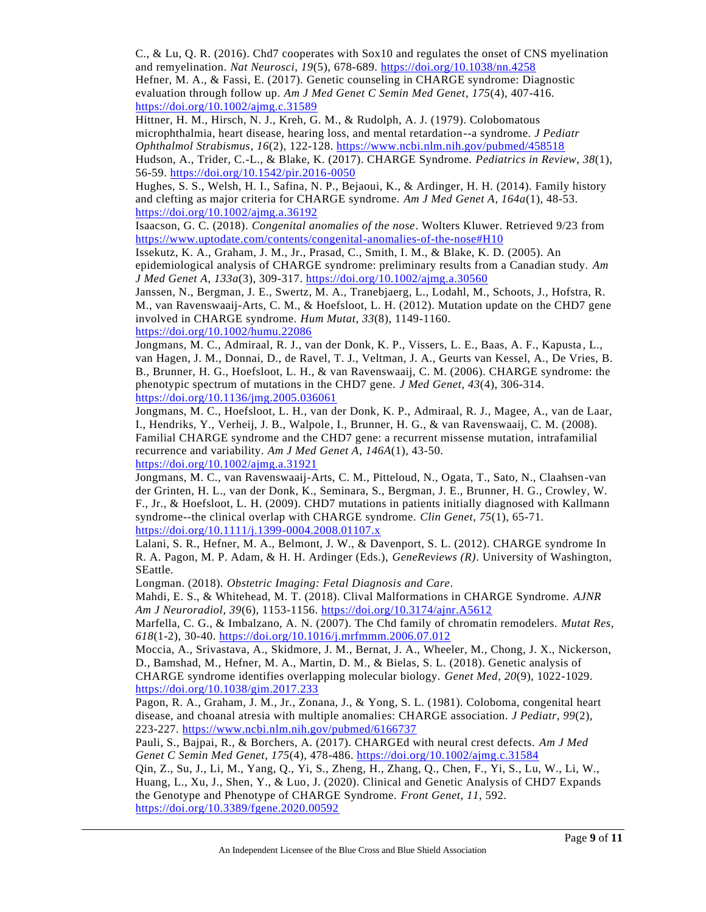C., & Lu, Q. R. (2016). Chd7 cooperates with Sox10 and regulates the onset of CNS myelination and remyelination. *Nat Neurosci*, *19*(5), 678-689.<https://doi.org/10.1038/nn.4258> Hefner, M. A., & Fassi, E. (2017). Genetic counseling in CHARGE syndrome: Diagnostic evaluation through follow up. *Am J Med Genet C Semin Med Genet*, *175*(4), 407-416. <https://doi.org/10.1002/ajmg.c.31589>

Hittner, H. M., Hirsch, N. J., Kreh, G. M., & Rudolph, A. J. (1979). Colobomatous microphthalmia, heart disease, hearing loss, and mental retardation--a syndrome. *J Pediatr Ophthalmol Strabismus*, *16*(2), 122-128.<https://www.ncbi.nlm.nih.gov/pubmed/458518> Hudson, A., Trider, C.-L., & Blake, K. (2017). CHARGE Syndrome. *Pediatrics in Review*, *38*(1), 56-59.<https://doi.org/10.1542/pir.2016-0050>

Hughes, S. S., Welsh, H. I., Safina, N. P., Bejaoui, K., & Ardinger, H. H. (2014). Family history and clefting as major criteria for CHARGE syndrome. *Am J Med Genet A*, *164a*(1), 48-53. <https://doi.org/10.1002/ajmg.a.36192>

Isaacson, G. C. (2018). *Congenital anomalies of the nose*. Wolters Kluwer. Retrieved 9/23 from <https://www.uptodate.com/contents/congenital-anomalies-of-the-nose#H10>

Issekutz, K. A., Graham, J. M., Jr., Prasad, C., Smith, I. M., & Blake, K. D. (2005). An epidemiological analysis of CHARGE syndrome: preliminary results from a Canadian study. *Am J Med Genet A*, *133a*(3), 309-317.<https://doi.org/10.1002/ajmg.a.30560>

Janssen, N., Bergman, J. E., Swertz, M. A., Tranebjaerg, L., Lodahl, M., Schoots, J., Hofstra, R. M., van Ravenswaaij-Arts, C. M., & Hoefsloot, L. H. (2012). Mutation update on the CHD7 gene involved in CHARGE syndrome. *Hum Mutat*, *33*(8), 1149-1160. <https://doi.org/10.1002/humu.22086>

Jongmans, M. C., Admiraal, R. J., van der Donk, K. P., Vissers, L. E., Baas, A. F., Kapusta , L., van Hagen, J. M., Donnai, D., de Ravel, T. J., Veltman, J. A., Geurts van Kessel, A., De Vries, B. B., Brunner, H. G., Hoefsloot, L. H., & van Ravenswaaij, C. M. (2006). CHARGE syndrome: the phenotypic spectrum of mutations in the CHD7 gene. *J Med Genet*, *43*(4), 306-314. <https://doi.org/10.1136/jmg.2005.036061>

Jongmans, M. C., Hoefsloot, L. H., van der Donk, K. P., Admiraal, R. J., Magee, A., van de Laar, I., Hendriks, Y., Verheij, J. B., Walpole, I., Brunner, H. G., & van Ravenswaaij, C. M. (2008). Familial CHARGE syndrome and the CHD7 gene: a recurrent missense mutation, intrafamilial recurrence and variability. *Am J Med Genet A*, *146A*(1), 43-50.

<https://doi.org/10.1002/ajmg.a.31921>

Jongmans, M. C., van Ravenswaaij-Arts, C. M., Pitteloud, N., Ogata, T., Sato, N., Claahsen-van der Grinten, H. L., van der Donk, K., Seminara, S., Bergman, J. E., Brunner, H. G., Crowley, W. F., Jr., & Hoefsloot, L. H. (2009). CHD7 mutations in patients initially diagnosed with Kallmann syndrome--the clinical overlap with CHARGE syndrome. *Clin Genet*, *75*(1), 65-71. <https://doi.org/10.1111/j.1399-0004.2008.01107.x>

Lalani, S. R., Hefner, M. A., Belmont, J. W., & Davenport, S. L. (2012). CHARGE syndrome In R. A. Pagon, M. P. Adam, & H. H. Ardinger (Eds.), *GeneReviews (R)*. University of Washington, SEattle.

Longman. (2018). *Obstetric Imaging: Fetal Diagnosis and Care*.

Mahdi, E. S., & Whitehead, M. T. (2018). Clival Malformations in CHARGE Syndrome. *AJNR Am J Neuroradiol*, *39*(6), 1153-1156.<https://doi.org/10.3174/ajnr.A5612>

Marfella, C. G., & Imbalzano, A. N. (2007). The Chd family of chromatin remodelers. *Mutat Res*, *618*(1-2), 30-40.<https://doi.org/10.1016/j.mrfmmm.2006.07.012>

Moccia, A., Srivastava, A., Skidmore, J. M., Bernat, J. A., Wheeler, M., Chong, J. X., Nickerson, D., Bamshad, M., Hefner, M. A., Martin, D. M., & Bielas, S. L. (2018). Genetic analysis of CHARGE syndrome identifies overlapping molecular biology. *Genet Med*, *20*(9), 1022-1029. <https://doi.org/10.1038/gim.2017.233>

Pagon, R. A., Graham, J. M., Jr., Zonana, J., & Yong, S. L. (1981). Coloboma, congenital heart disease, and choanal atresia with multiple anomalies: CHARGE association. *J Pediatr*, *99*(2), 223-227.<https://www.ncbi.nlm.nih.gov/pubmed/6166737>

Pauli, S., Bajpai, R., & Borchers, A. (2017). CHARGEd with neural crest defects. *Am J Med Genet C Semin Med Genet*, *175*(4), 478-486.<https://doi.org/10.1002/ajmg.c.31584>

Qin, Z., Su, J., Li, M., Yang, Q., Yi, S., Zheng, H., Zhang, Q., Chen, F., Yi, S., Lu, W., Li, W., Huang, L., Xu, J., Shen, Y., & Luo, J. (2020). Clinical and Genetic Analysis of CHD7 Expands the Genotype and Phenotype of CHARGE Syndrome. *Front Genet*, *11*, 592. <https://doi.org/10.3389/fgene.2020.00592>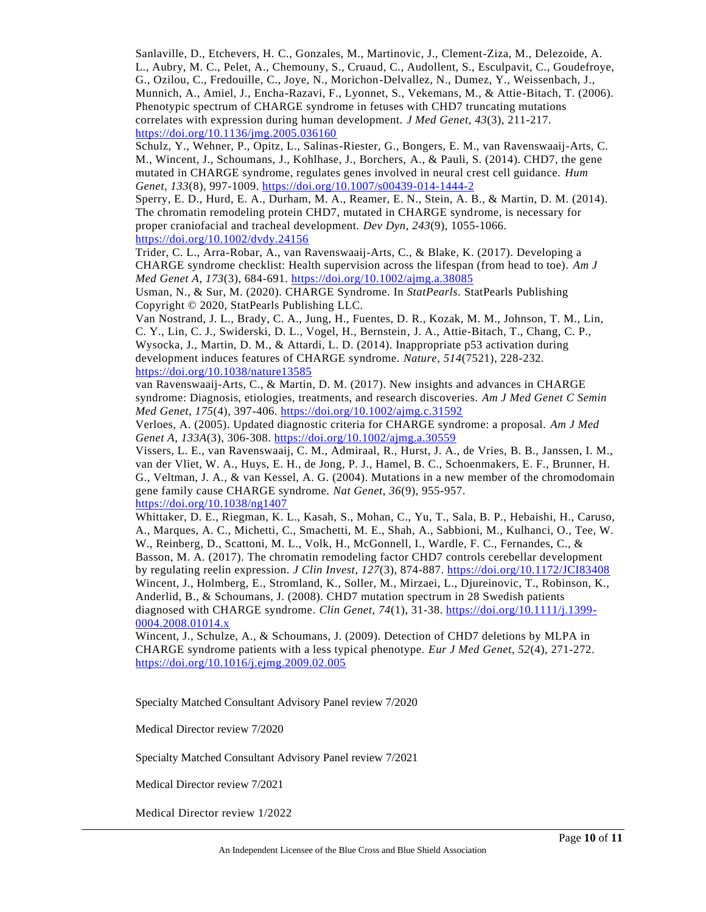Sanlaville, D., Etchevers, H. C., Gonzales, M., Martinovic, J., Clement-Ziza, M., Delezoide, A. L., Aubry, M. C., Pelet, A., Chemouny, S., Cruaud, C., Audollent, S., Esculpavit, C., Goudefroye, G., Ozilou, C., Fredouille, C., Joye, N., Morichon-Delvallez, N., Dumez, Y., Weissenbach, J., Munnich, A., Amiel, J., Encha-Razavi, F., Lyonnet, S., Vekemans, M., & Attie-Bitach, T. (2006). Phenotypic spectrum of CHARGE syndrome in fetuses with CHD7 truncating mutations correlates with expression during human development. *J Med Genet*, *43*(3), 211-217. <https://doi.org/10.1136/jmg.2005.036160>

Schulz, Y., Wehner, P., Opitz, L., Salinas-Riester, G., Bongers, E. M., van Ravenswaaij-Arts, C. M., Wincent, J., Schoumans, J., Kohlhase, J., Borchers, A., & Pauli, S. (2014). CHD7, the gene mutated in CHARGE syndrome, regulates genes involved in neural crest cell guidance. *Hum Genet*, *133*(8), 997-1009.<https://doi.org/10.1007/s00439-014-1444-2>

Sperry, E. D., Hurd, E. A., Durham, M. A., Reamer, E. N., Stein, A. B., & Martin, D. M. (2014). The chromatin remodeling protein CHD7, mutated in CHARGE syndrome, is necessary for proper craniofacial and tracheal development. *Dev Dyn*, *243*(9), 1055-1066. <https://doi.org/10.1002/dvdy.24156>

Trider, C. L., Arra-Robar, A., van Ravenswaaij-Arts, C., & Blake, K. (2017). Developing a CHARGE syndrome checklist: Health supervision across the lifespan (from head to toe). *Am J Med Genet A*, *173*(3), 684-691.<https://doi.org/10.1002/ajmg.a.38085>

Usman, N., & Sur, M. (2020). CHARGE Syndrome. In *StatPearls*. StatPearls Publishing Copyright © 2020, StatPearls Publishing LLC.

Van Nostrand, J. L., Brady, C. A., Jung, H., Fuentes, D. R., Kozak, M. M., Johnson, T. M., Lin, C. Y., Lin, C. J., Swiderski, D. L., Vogel, H., Bernstein, J. A., Attie-Bitach, T., Chang, C. P., Wysocka, J., Martin, D. M., & Attardi, L. D. (2014). Inappropriate p53 activation during development induces features of CHARGE syndrome. *Nature*, *514*(7521), 228-232. <https://doi.org/10.1038/nature13585>

van Ravenswaaij-Arts, C., & Martin, D. M. (2017). New insights and advances in CHARGE syndrome: Diagnosis, etiologies, treatments, and research discoveries. *Am J Med Genet C Semin Med Genet*, *175*(4), 397-406.<https://doi.org/10.1002/ajmg.c.31592>

Verloes, A. (2005). Updated diagnostic criteria for CHARGE syndrome: a proposal. *Am J Med Genet A*, *133A*(3), 306-308.<https://doi.org/10.1002/ajmg.a.30559>

Vissers, L. E., van Ravenswaaij, C. M., Admiraal, R., Hurst, J. A., de Vries, B. B., Janssen, I. M., van der Vliet, W. A., Huys, E. H., de Jong, P. J., Hamel, B. C., Schoenmakers, E. F., Brunner, H. G., Veltman, J. A., & van Kessel, A. G. (2004). Mutations in a new member of the chromodomain gene family cause CHARGE syndrome. *Nat Genet*, *36*(9), 955-957. <https://doi.org/10.1038/ng1407>

Whittaker, D. E., Riegman, K. L., Kasah, S., Mohan, C., Yu, T., Sala, B. P., Hebaishi, H., Caruso, A., Marques, A. C., Michetti, C., Smachetti, M. E., Shah, A., Sabbioni, M., Kulhanci, O., Tee, W. W., Reinberg, D., Scattoni, M. L., Volk, H., McGonnell, I., Wardle, F. C., Fernandes, C., & Basson, M. A. (2017). The chromatin remodeling factor CHD7 controls cerebellar development by regulating reelin expression. *J Clin Invest*, 127(3), 874-887.<https://doi.org/10.1172/JCI83408> Wincent, J., Holmberg, E., Stromland, K., Soller, M., Mirzaei, L., Djureinovic, T., Robinson, K., Anderlid, B., & Schoumans, J. (2008). CHD7 mutation spectrum in 28 Swedish patients diagnosed with CHARGE syndrome. *Clin Genet*, *74*(1), 31-38. [https://doi.org/10.1111/j.1399-](https://doi.org/10.1111/j.1399-0004.2008.01014.x) [0004.2008.01014.x](https://doi.org/10.1111/j.1399-0004.2008.01014.x)

Wincent, J., Schulze, A., & Schoumans, J. (2009). Detection of CHD7 deletions by MLPA in CHARGE syndrome patients with a less typical phenotype. *Eur J Med Genet*, *52*(4), 271-272. <https://doi.org/10.1016/j.ejmg.2009.02.005>

Specialty Matched Consultant Advisory Panel review 7/2020

Medical Director review 7/2020

Specialty Matched Consultant Advisory Panel review 7/2021

Medical Director review 7/2021

Medical Director review 1/2022